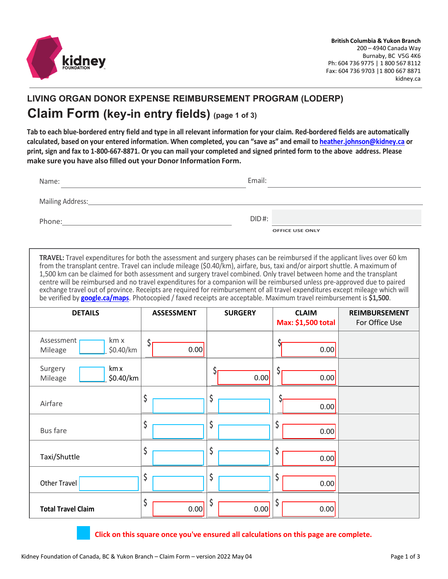

## **LIVING ORGAN DONOR EXPENSE REIMBURSEMENT PROGRAM (LODERP) Claim Form (key-in entry fields) (page 1 of 3)**

**Tab to each blue-bordered entry field and type in all relevant information for your claim. Red-bordered fields are automatically calculated, based on your entered information. When completed, you can "save as" and email to [heather.johnson@kidney.ca](mailto:heather.johnson@kidney.ca) or print, sign and fax to 1-800-667-8871. Or you can mail your completed and signed printed form to the above address. Please make sure you have also filled out your Donor Information Form.**

| Name:            | Email:                             |
|------------------|------------------------------------|
| Mailing Address: |                                    |
| Phone:           | $DID$ #:<br><b>OFFICE USE ONLY</b> |

**TRAVEL:** Travel expenditures for both the assessment and surgery phases can be reimbursed if the applicant lives over 60 km from the transplant centre. Travel can include mileage (\$0.40/km), airfare, bus, taxi and/or airport shuttle. A maximum of 1,500 km can be claimed for both assessment and surgery travel combined. Only travel between home and the transplant centre will be reimbursed and no travel expenditures for a companion will be reimbursed unless pre-approved due to paired exchange travel out of province. Receipts are required for reimbursement of all travel expenditures except mileage which will be verified by **[google.ca/maps](http://www.google.ca/maps)**. Photocopied / faxed receipts are acceptable. Maximum travel reimbursement is **\$1,500**.

| <b>DETAILS</b>                             | <b>ASSESSMENT</b> | <b>SURGERY</b> | <b>CLAIM</b><br>Max: \$1,500 total | <b>REIMBURSEMENT</b><br>For Office Use |
|--------------------------------------------|-------------------|----------------|------------------------------------|----------------------------------------|
| km x<br>Assessment<br>\$0.40/km<br>Mileage | Ş<br>0.00         |                | 0.00                               |                                        |
| Surgery<br>km x<br>\$0.40/km<br>Mileage    |                   | 0.00           | Ç<br>0.00                          |                                        |
| Airfare                                    | \$                | \$             | 0.00                               |                                        |
| <b>Bus fare</b>                            | \$                | \$             | 0.00                               |                                        |
| Taxi/Shuttle                               | \$                | \$             | S<br>0.00                          |                                        |
| Other Travel                               | \$                | \$             | Ç<br>0.00                          |                                        |
| <b>Total Travel Claim</b>                  | \$<br>0.00        | \$<br>0.00     | 0.00                               |                                        |

**Click on this square once you've ensured all calculations on this page are complete.**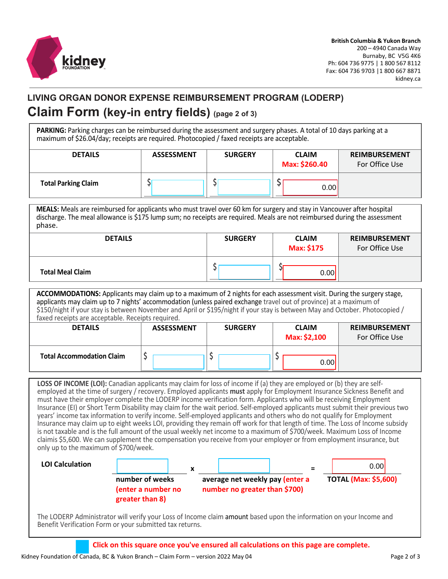

## **LIVING ORGAN DONOR EXPENSE REIMBURSEMENT PROGRAM (LODERP) Claim Form (key-in entry fields) (page 2 of 3)**

**PARKING:** Parking charges can be reimbursed during the assessment and surgery phases. A total of 10 days parking at a maximum of \$26.04/day; receipts are required. Photocopied / faxed receipts are acceptable.

| <b>DETAILS</b>             | <b>ASSESSMENT</b> | <b>SURGERY</b> | <b>CLAIM</b><br>Max: \$260.40 | <b>REIMBURSEMENT</b><br>For Office Use |
|----------------------------|-------------------|----------------|-------------------------------|----------------------------------------|
| <b>Total Parking Claim</b> |                   |                | 0.00                          |                                        |

**MEALS:** Meals are reimbursed for applicants who must travel over 60 km for surgery and stay in Vancouver after hospital discharge. The meal allowance is \$175 lump sum; no receipts are required. Meals are not reimbursed during the assessment phase.

| <b>DETAILS</b>          | <b>SURGERY</b> | <b>CLAIM</b><br>Max: \$175 | <b>REIMBURSEMENT</b><br>For Office Use |
|-------------------------|----------------|----------------------------|----------------------------------------|
| <b>Total Meal Claim</b> |                | 0.00                       |                                        |

**ACCOMMODATIONS:** Applicants may claim up to a maximum of 2 nights for each assessment visit. During the surgery stage, applicants may claim up to 7 nights' accommodation (unless paired exchange travel out of province) at a maximum of \$150/night if your stay is between November and April or \$195/night if your stay is between May and October. Photocopied / faxed receipts are acceptable. Receipts required.

| <b>DETAILS</b>                   | <b>ASSESSMENT</b> | <b>SURGERY</b> | <b>CLAIM</b><br>Max: \$2,100 | <b>REIMBURSEMENT</b><br>For Office Use |
|----------------------------------|-------------------|----------------|------------------------------|----------------------------------------|
| <b>Total Accommodation Claim</b> |                   |                | 0.00                         |                                        |

**LOSS OF INCOME (LOI):** Canadian applicants may claim for loss of income if (a) they are employed or (b) they are selfemployed at the time of surgery / recovery. Employed applicants **must** apply for Employment Insurance Sickness Benefit and must have their employer complete the LODERP income verification form. Applicants who will be receiving Employment Insurance (EI) or Short Term Disability may claim for the wait period. Self-employed applicants must submit their previous two years' income tax information to verify income. Self-employed applicants and others who do not qualify for Employment Insurance may claim up to eight weeks LOI, providing they remain off work for that length of time. The Loss of Income subsidy is not taxable and is the full amount of the usual weekly net income to a maximum of \$700/week. Maximum Loss of Income claimis \$5,600. We can supplement the compensation you receive from your employer or from employment insurance, but only up to the maximum of \$700/week.



The LODERP Administrator will verify your Loss of Income claim amount based upon the information on your Income and Benefit Verification Form or your submitted tax returns.

**Click on this square once you've ensured all calculations on this page are complete.**